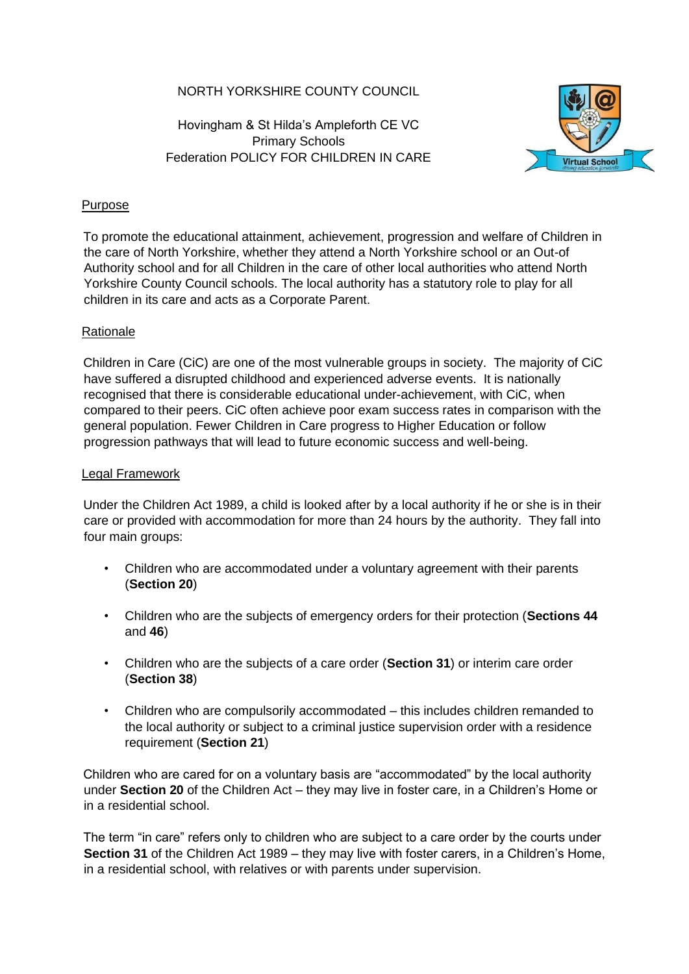# NORTH YORKSHIRE COUNTY COUNCIL

Hovingham & St Hilda's Ampleforth CE VC Primary Schools Federation POLICY FOR CHILDREN IN CARE



### **Purpose**

To promote the educational attainment, achievement, progression and welfare of Children in the care of North Yorkshire, whether they attend a North Yorkshire school or an Out-of Authority school and for all Children in the care of other local authorities who attend North Yorkshire County Council schools. The local authority has a statutory role to play for all children in its care and acts as a Corporate Parent.

### **Rationale**

Children in Care (CiC) are one of the most vulnerable groups in society. The majority of CiC have suffered a disrupted childhood and experienced adverse events. It is nationally recognised that there is considerable educational under-achievement, with CiC, when compared to their peers. CiC often achieve poor exam success rates in comparison with the general population. Fewer Children in Care progress to Higher Education or follow progression pathways that will lead to future economic success and well-being.

### Legal Framework

Under the Children Act 1989, a child is looked after by a local authority if he or she is in their care or provided with accommodation for more than 24 hours by the authority. They fall into four main groups:

- Children who are accommodated under a voluntary agreement with their parents (**Section 20**)
- Children who are the subjects of emergency orders for their protection (**Sections 44** and **46**)
- Children who are the subjects of a care order (**Section 31**) or interim care order (**Section 38**)
- Children who are compulsorily accommodated this includes children remanded to the local authority or subject to a criminal justice supervision order with a residence requirement (**Section 21**)

Children who are cared for on a voluntary basis are "accommodated" by the local authority under **Section 20** of the Children Act – they may live in foster care, in a Children's Home or in a residential school.

The term "in care" refers only to children who are subject to a care order by the courts under **Section 31** of the Children Act 1989 – they may live with foster carers, in a Children's Home, in a residential school, with relatives or with parents under supervision.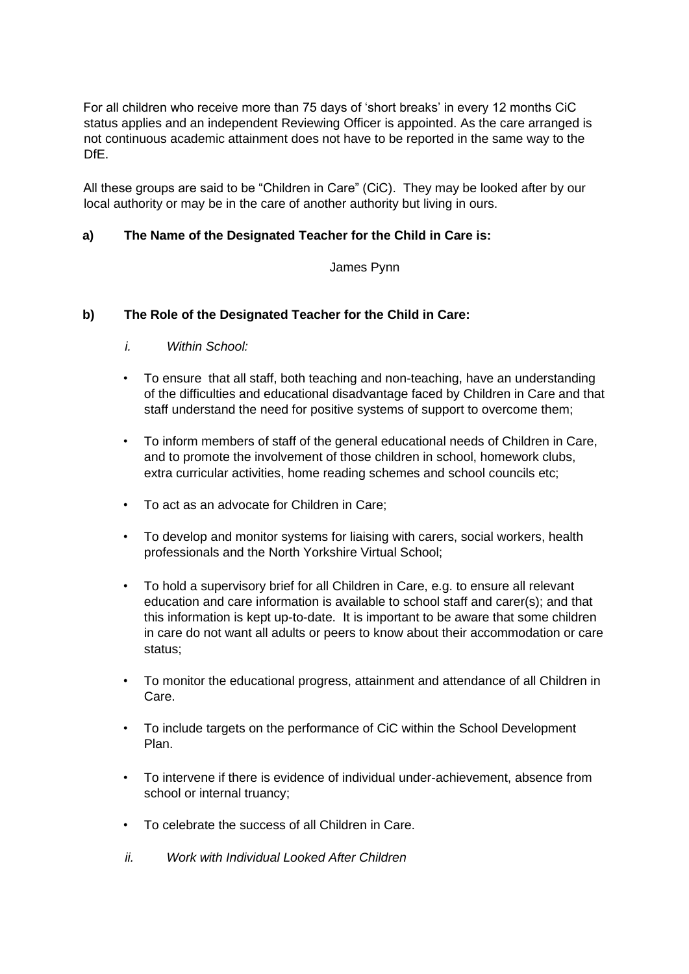For all children who receive more than 75 days of 'short breaks' in every 12 months CiC status applies and an independent Reviewing Officer is appointed. As the care arranged is not continuous academic attainment does not have to be reported in the same way to the DfE.

All these groups are said to be "Children in Care" (CiC). They may be looked after by our local authority or may be in the care of another authority but living in ours.

# **a) The Name of the Designated Teacher for the Child in Care is:**

### James Pynn

# **b) The Role of the Designated Teacher for the Child in Care:**

- *i. Within School:*
- To ensure that all staff, both teaching and non-teaching, have an understanding of the difficulties and educational disadvantage faced by Children in Care and that staff understand the need for positive systems of support to overcome them;
- To inform members of staff of the general educational needs of Children in Care, and to promote the involvement of those children in school, homework clubs, extra curricular activities, home reading schemes and school councils etc;
- To act as an advocate for Children in Care;
- To develop and monitor systems for liaising with carers, social workers, health professionals and the North Yorkshire Virtual School;
- To hold a supervisory brief for all Children in Care, e.g. to ensure all relevant education and care information is available to school staff and carer(s); and that this information is kept up-to-date. It is important to be aware that some children in care do not want all adults or peers to know about their accommodation or care status;
- To monitor the educational progress, attainment and attendance of all Children in Care.
- To include targets on the performance of CiC within the School Development Plan.
- To intervene if there is evidence of individual under-achievement, absence from school or internal truancy;
- To celebrate the success of all Children in Care.
- *ii. Work with Individual Looked After Children*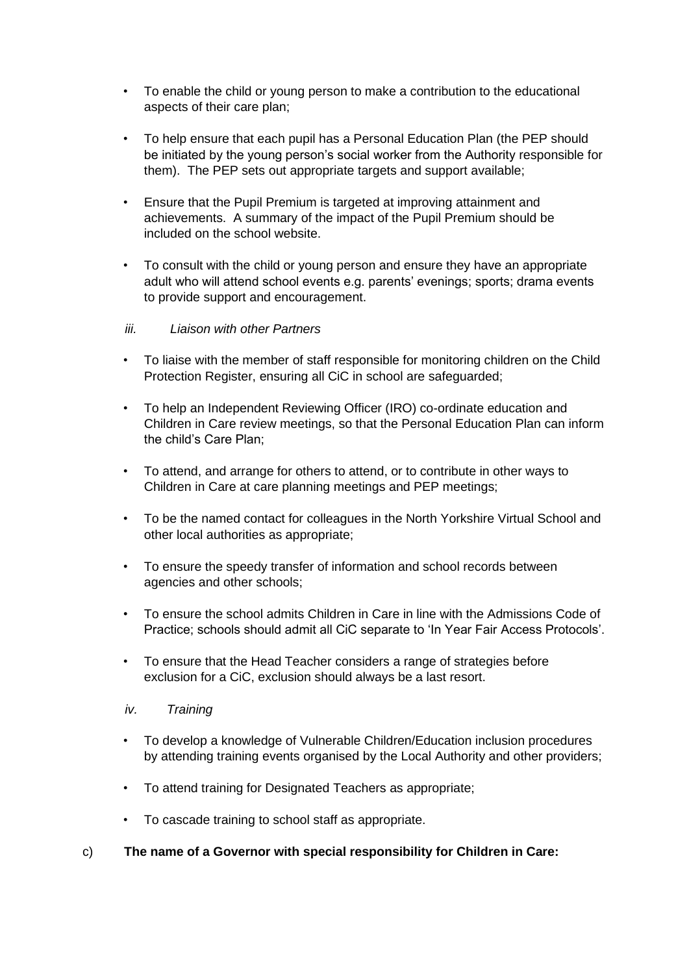- To enable the child or young person to make a contribution to the educational aspects of their care plan;
- To help ensure that each pupil has a Personal Education Plan (the PEP should be initiated by the young person's social worker from the Authority responsible for them). The PEP sets out appropriate targets and support available;
- Ensure that the Pupil Premium is targeted at improving attainment and achievements. A summary of the impact of the Pupil Premium should be included on the school website.
- To consult with the child or young person and ensure they have an appropriate adult who will attend school events e.g. parents' evenings; sports; drama events to provide support and encouragement.

### *iii. Liaison with other Partners*

- To liaise with the member of staff responsible for monitoring children on the Child Protection Register, ensuring all CiC in school are safeguarded;
- To help an Independent Reviewing Officer (IRO) co-ordinate education and Children in Care review meetings, so that the Personal Education Plan can inform the child's Care Plan;
- To attend, and arrange for others to attend, or to contribute in other ways to Children in Care at care planning meetings and PEP meetings;
- To be the named contact for colleagues in the North Yorkshire Virtual School and other local authorities as appropriate;
- To ensure the speedy transfer of information and school records between agencies and other schools;
- To ensure the school admits Children in Care in line with the Admissions Code of Practice; schools should admit all CiC separate to 'In Year Fair Access Protocols'.
- To ensure that the Head Teacher considers a range of strategies before exclusion for a CiC, exclusion should always be a last resort.
- *iv. Training*
- To develop a knowledge of Vulnerable Children/Education inclusion procedures by attending training events organised by the Local Authority and other providers;
- To attend training for Designated Teachers as appropriate;
- To cascade training to school staff as appropriate.
- c) **The name of a Governor with special responsibility for Children in Care:**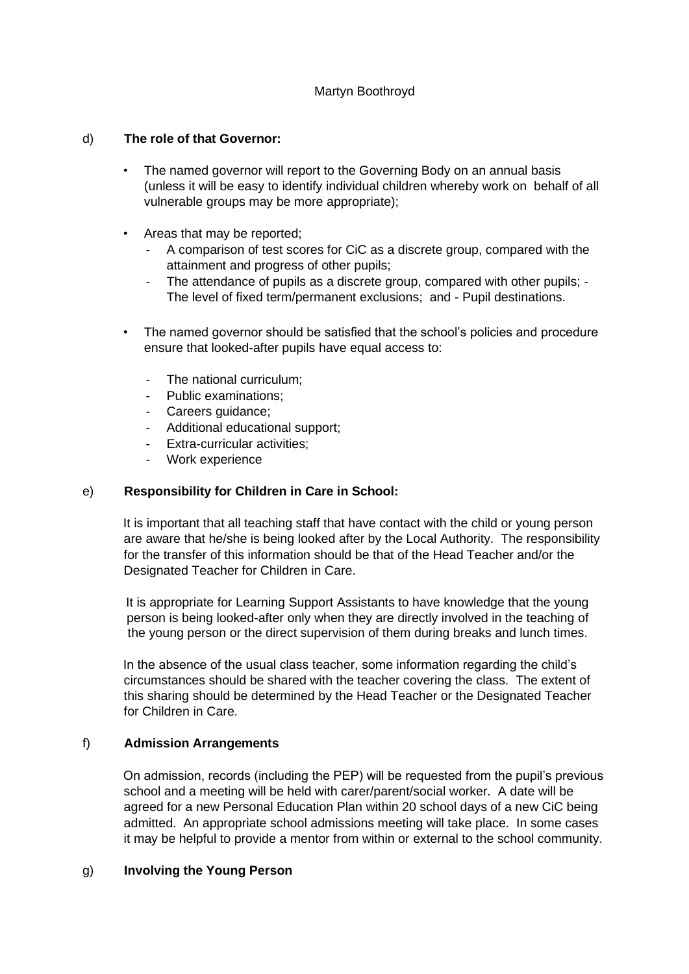# Martyn Boothroyd

### d) **The role of that Governor:**

- The named governor will report to the Governing Body on an annual basis (unless it will be easy to identify individual children whereby work on behalf of all vulnerable groups may be more appropriate);
- Areas that may be reported;
	- A comparison of test scores for CiC as a discrete group, compared with the attainment and progress of other pupils;
	- The attendance of pupils as a discrete group, compared with other pupils; -The level of fixed term/permanent exclusions; and - Pupil destinations.
- The named governor should be satisfied that the school's policies and procedure ensure that looked-after pupils have equal access to:
	- The national curriculum;
	- Public examinations;
	- Careers guidance;
	- Additional educational support;
	- Extra-curricular activities;
	- Work experience

### e) **Responsibility for Children in Care in School:**

It is important that all teaching staff that have contact with the child or young person are aware that he/she is being looked after by the Local Authority. The responsibility for the transfer of this information should be that of the Head Teacher and/or the Designated Teacher for Children in Care.

It is appropriate for Learning Support Assistants to have knowledge that the young person is being looked-after only when they are directly involved in the teaching of the young person or the direct supervision of them during breaks and lunch times.

In the absence of the usual class teacher, some information regarding the child's circumstances should be shared with the teacher covering the class. The extent of this sharing should be determined by the Head Teacher or the Designated Teacher for Children in Care.

### f) **Admission Arrangements**

On admission, records (including the PEP) will be requested from the pupil's previous school and a meeting will be held with carer/parent/social worker. A date will be agreed for a new Personal Education Plan within 20 school days of a new CiC being admitted. An appropriate school admissions meeting will take place. In some cases it may be helpful to provide a mentor from within or external to the school community.

#### g) **Involving the Young Person**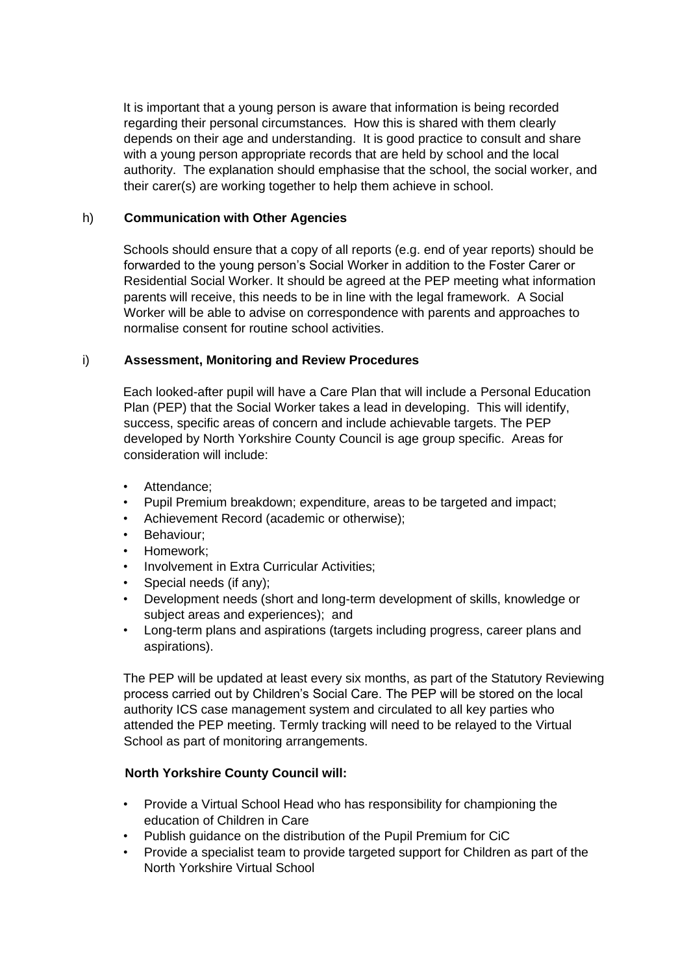It is important that a young person is aware that information is being recorded regarding their personal circumstances. How this is shared with them clearly depends on their age and understanding. It is good practice to consult and share with a young person appropriate records that are held by school and the local authority. The explanation should emphasise that the school, the social worker, and their carer(s) are working together to help them achieve in school.

### h) **Communication with Other Agencies**

Schools should ensure that a copy of all reports (e.g. end of year reports) should be forwarded to the young person's Social Worker in addition to the Foster Carer or Residential Social Worker. It should be agreed at the PEP meeting what information parents will receive, this needs to be in line with the legal framework. A Social Worker will be able to advise on correspondence with parents and approaches to normalise consent for routine school activities.

### i) **Assessment, Monitoring and Review Procedures**

Each looked-after pupil will have a Care Plan that will include a Personal Education Plan (PEP) that the Social Worker takes a lead in developing. This will identify, success, specific areas of concern and include achievable targets. The PEP developed by North Yorkshire County Council is age group specific. Areas for consideration will include:

- Attendance:
- Pupil Premium breakdown; expenditure, areas to be targeted and impact;
- Achievement Record (academic or otherwise);
- Behaviour;
- Homework;
- Involvement in Extra Curricular Activities;
- Special needs (if any);
- Development needs (short and long-term development of skills, knowledge or subject areas and experiences); and
- Long-term plans and aspirations (targets including progress, career plans and aspirations).

The PEP will be updated at least every six months, as part of the Statutory Reviewing process carried out by Children's Social Care. The PEP will be stored on the local authority ICS case management system and circulated to all key parties who attended the PEP meeting. Termly tracking will need to be relayed to the Virtual School as part of monitoring arrangements.

# **North Yorkshire County Council will:**

- Provide a Virtual School Head who has responsibility for championing the education of Children in Care
- Publish guidance on the distribution of the Pupil Premium for CiC
- Provide a specialist team to provide targeted support for Children as part of the North Yorkshire Virtual School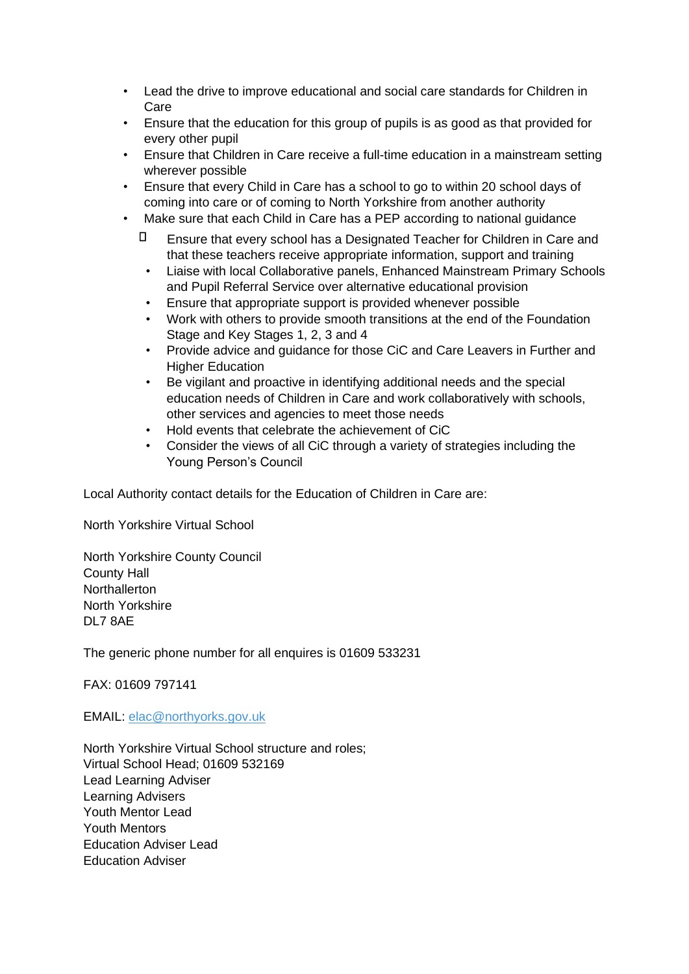- Lead the drive to improve educational and social care standards for Children in Care
- Ensure that the education for this group of pupils is as good as that provided for every other pupil
- Ensure that Children in Care receive a full-time education in a mainstream setting wherever possible
- Ensure that every Child in Care has a school to go to within 20 school days of coming into care or of coming to North Yorkshire from another authority
- Make sure that each Child in Care has a PEP according to national guidance
	- $\Box$  Ensure that every school has a Designated Teacher for Children in Care and that these teachers receive appropriate information, support and training
	- Liaise with local Collaborative panels, Enhanced Mainstream Primary Schools and Pupil Referral Service over alternative educational provision
	- Ensure that appropriate support is provided whenever possible
	- Work with others to provide smooth transitions at the end of the Foundation Stage and Key Stages 1, 2, 3 and 4
	- Provide advice and guidance for those CiC and Care Leavers in Further and Higher Education
	- Be vigilant and proactive in identifying additional needs and the special education needs of Children in Care and work collaboratively with schools, other services and agencies to meet those needs
	- Hold events that celebrate the achievement of CiC
	- Consider the views of all CiC through a variety of strategies including the Young Person's Council

Local Authority contact details for the Education of Children in Care are:

North Yorkshire Virtual School

North Yorkshire County Council County Hall **Northallerton** North Yorkshire DL7 8AE

The generic phone number for all enquires is 01609 533231

FAX: 01609 797141

EMAIL: elac@northyorks.gov.uk

North Yorkshire Virtual School structure and roles; Virtual School Head; 01609 532169 Lead Learning Adviser Learning Advisers Youth Mentor Lead Youth Mentors Education Adviser Lead Education Adviser